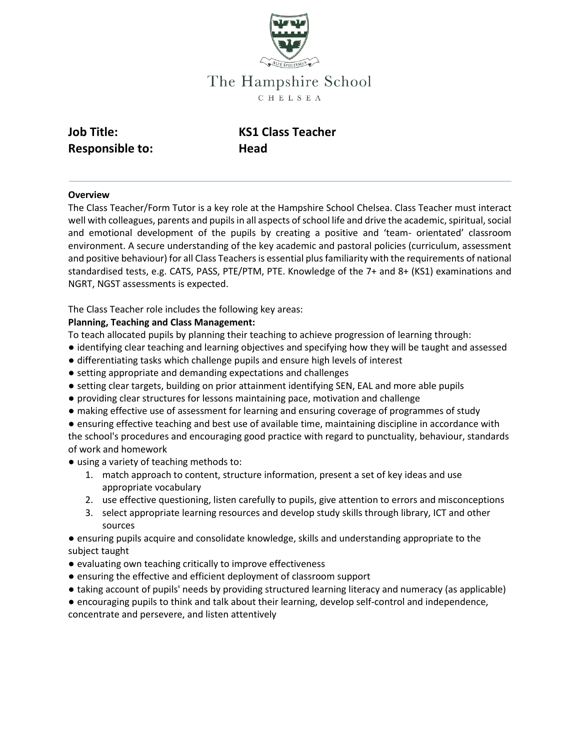

# The Hampshire School C H E L S E A

| <b>Job Title:</b>      |  |
|------------------------|--|
| <b>Responsible to:</b> |  |

**KS1 Class Teacher Head** 

### **Overview**

The Class Teacher/Form Tutor is a key role at the Hampshire School Chelsea. Class Teacher must interact well with colleagues, parents and pupils in all aspects of school life and drive the academic, spiritual, social and emotional development of the pupils by creating a positive and 'team- orientated' classroom environment. A secure understanding of the key academic and pastoral policies (curriculum, assessment and positive behaviour) for all Class Teachers is essential plus familiarity with the requirements of national standardised tests, e.g. CATS, PASS, PTE/PTM, PTE. Knowledge of the 7+ and 8+ (KS1) examinations and NGRT, NGST assessments is expected.

The Class Teacher role includes the following key areas:

### **Planning, Teaching and Class Management:**

To teach allocated pupils by planning their teaching to achieve progression of learning through:

- identifying clear teaching and learning objectives and specifying how they will be taught and assessed
- differentiating tasks which challenge pupils and ensure high levels of interest
- setting appropriate and demanding expectations and challenges
- setting clear targets, building on prior attainment identifying SEN, EAL and more able pupils
- providing clear structures for lessons maintaining pace, motivation and challenge
- making effective use of assessment for learning and ensuring coverage of programmes of study

● ensuring effective teaching and best use of available time, maintaining discipline in accordance with the school's procedures and encouraging good practice with regard to punctuality, behaviour, standards of work and homework

- using a variety of teaching methods to:
	- 1. match approach to content, structure information, present a set of key ideas and use appropriate vocabulary
	- 2. use effective questioning, listen carefully to pupils, give attention to errors and misconceptions
	- 3. select appropriate learning resources and develop study skills through library, ICT and other sources
- ensuring pupils acquire and consolidate knowledge, skills and understanding appropriate to the subject taught
- evaluating own teaching critically to improve effectiveness
- ensuring the effective and efficient deployment of classroom support
- taking account of pupils' needs by providing structured learning literacy and numeracy (as applicable)
- encouraging pupils to think and talk about their learning, develop self-control and independence,
- concentrate and persevere, and listen attentively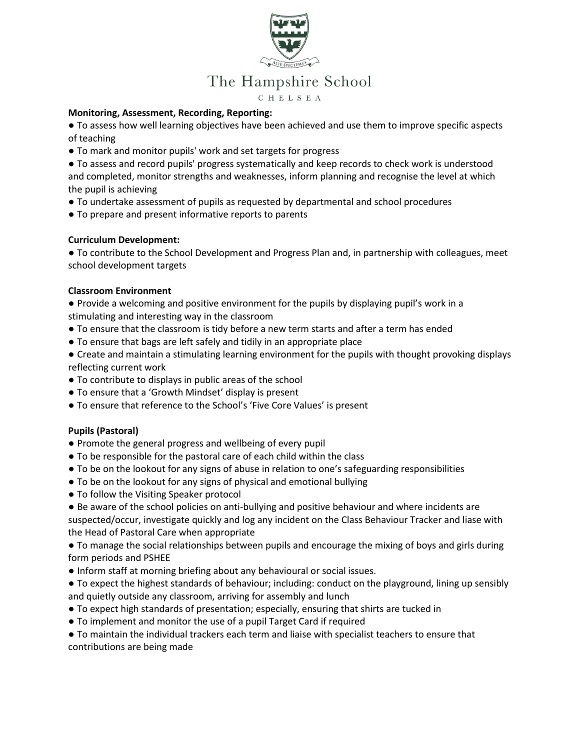

# The Hampshire School

C H E L S E A

#### **Monitoring, Assessment, Recording, Reporting:**

● To assess how well learning objectives have been achieved and use them to improve specific aspects of teaching

- To mark and monitor pupils' work and set targets for progress
- To assess and record pupils' progress systematically and keep records to check work is understood and completed, monitor strengths and weaknesses, inform planning and recognise the level at which the pupil is achieving
- To undertake assessment of pupils as requested by departmental and school procedures
- To prepare and present informative reports to parents

### **Curriculum Development:**

● To contribute to the School Development and Progress Plan and, in partnership with colleagues, meet school development targets

### **Classroom Environment**

● Provide a welcoming and positive environment for the pupils by displaying pupil's work in a stimulating and interesting way in the classroom

- To ensure that the classroom is tidy before a new term starts and after a term has ended
- To ensure that bags are left safely and tidily in an appropriate place
- Create and maintain a stimulating learning environment for the pupils with thought provoking displays reflecting current work
- To contribute to displays in public areas of the school
- To ensure that a 'Growth Mindset' display is present
- To ensure that reference to the School's 'Five Core Values' is present

# **Pupils (Pastoral)**

- Promote the general progress and wellbeing of every pupil
- To be responsible for the pastoral care of each child within the class
- To be on the lookout for any signs of abuse in relation to one's safeguarding responsibilities
- To be on the lookout for any signs of physical and emotional bullying
- To follow the Visiting Speaker protocol
- Be aware of the school policies on anti-bullying and positive behaviour and where incidents are suspected/occur, investigate quickly and log any incident on the Class Behaviour Tracker and liase with the Head of Pastoral Care when appropriate

● To manage the social relationships between pupils and encourage the mixing of boys and girls during form periods and PSHEE

- Inform staff at morning briefing about any behavioural or social issues.
- To expect the highest standards of behaviour; including: conduct on the playground, lining up sensibly and quietly outside any classroom, arriving for assembly and lunch
- To expect high standards of presentation; especially, ensuring that shirts are tucked in
- To implement and monitor the use of a pupil Target Card if required

● To maintain the individual trackers each term and liaise with specialist teachers to ensure that contributions are being made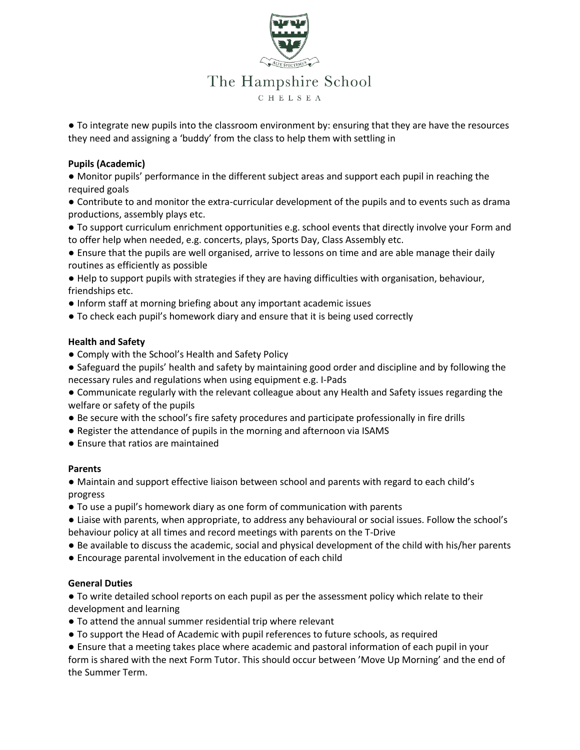

● To integrate new pupils into the classroom environment by: ensuring that they are have the resources they need and assigning a 'buddy' from the class to help them with settling in

# **Pupils (Academic)**

● Monitor pupils' performance in the different subject areas and support each pupil in reaching the required goals

● Contribute to and monitor the extra-curricular development of the pupils and to events such as drama productions, assembly plays etc.

● To support curriculum enrichment opportunities e.g. school events that directly involve your Form and to offer help when needed, e.g. concerts, plays, Sports Day, Class Assembly etc.

● Ensure that the pupils are well organised, arrive to lessons on time and are able manage their daily routines as efficiently as possible

● Help to support pupils with strategies if they are having difficulties with organisation, behaviour, friendships etc.

● Inform staff at morning briefing about any important academic issues

● To check each pupil's homework diary and ensure that it is being used correctly

### **Health and Safety**

● Comply with the School's Health and Safety Policy

● Safeguard the pupils' health and safety by maintaining good order and discipline and by following the necessary rules and regulations when using equipment e.g. I-Pads

● Communicate regularly with the relevant colleague about any Health and Safety issues regarding the welfare or safety of the pupils

- Be secure with the school's fire safety procedures and participate professionally in fire drills
- Register the attendance of pupils in the morning and afternoon via ISAMS
- Ensure that ratios are maintained

#### **Parents**

● Maintain and support effective liaison between school and parents with regard to each child's progress

● To use a pupil's homework diary as one form of communication with parents

● Liaise with parents, when appropriate, to address any behavioural or social issues. Follow the school's behaviour policy at all times and record meetings with parents on the T-Drive

- Be available to discuss the academic, social and physical development of the child with his/her parents
- Encourage parental involvement in the education of each child

#### **General Duties**

● To write detailed school reports on each pupil as per the assessment policy which relate to their development and learning

- To attend the annual summer residential trip where relevant
- To support the Head of Academic with pupil references to future schools, as required
- Ensure that a meeting takes place where academic and pastoral information of each pupil in your form is shared with the next Form Tutor. This should occur between 'Move Up Morning' and the end of the Summer Term.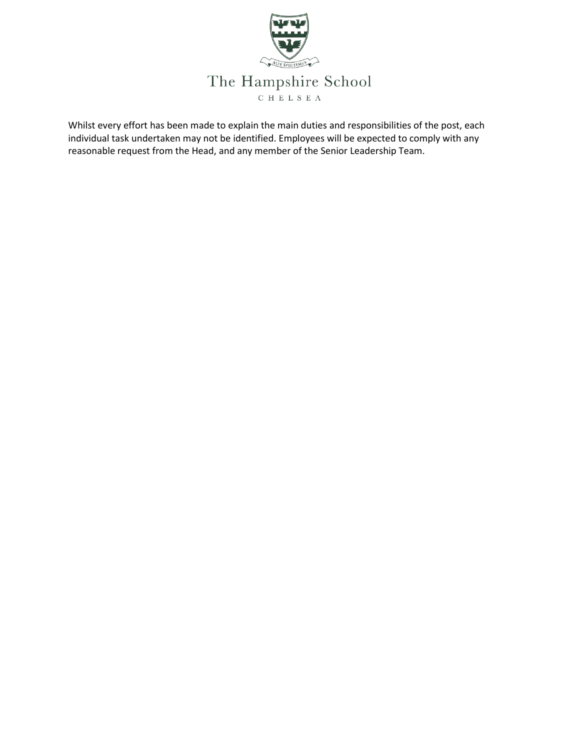

Whilst every effort has been made to explain the main duties and responsibilities of the post, each individual task undertaken may not be identified. Employees will be expected to comply with any reasonable request from the Head, and any member of the Senior Leadership Team.